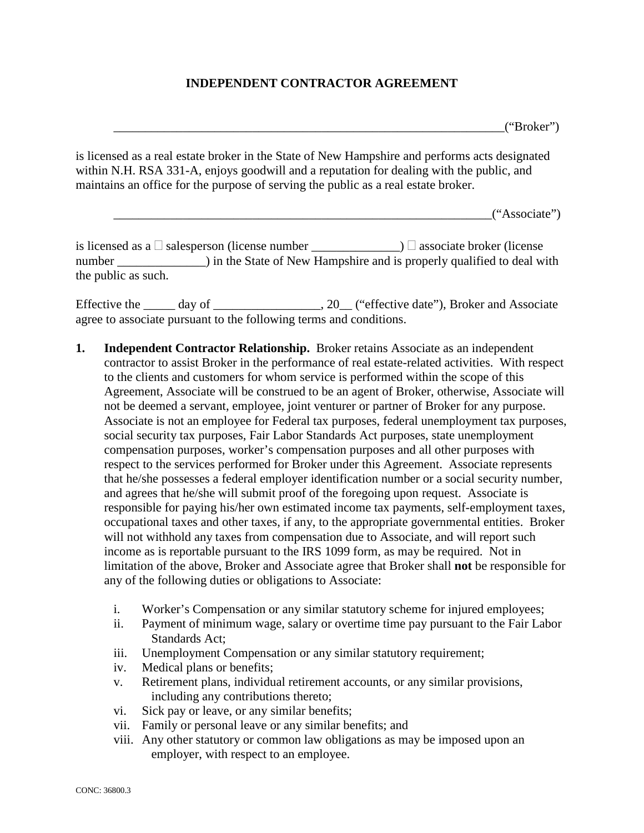## **INDEPENDENT CONTRACTOR AGREEMENT**

 $("Broker")$ 

is licensed as a real estate broker in the State of New Hampshire and performs acts designated within N.H. RSA 331-A, enjoys goodwill and a reputation for dealing with the public, and maintains an office for the purpose of serving the public as a real estate broker.

 $``Associate"$ 

is licensed as a  $\Box$  salesperson (license number  $\Box$   $\Box$  associate broker (license number ) in the State of New Hampshire and is properly qualified to deal with the public as such.

Effective the \_\_\_\_\_ day of \_\_\_\_\_\_\_\_\_\_\_\_\_\_\_, 20\_\_ ("effective date"), Broker and Associate agree to associate pursuant to the following terms and conditions.

- **1. Independent Contractor Relationship.** Broker retains Associate as an independent contractor to assist Broker in the performance of real estate-related activities. With respect to the clients and customers for whom service is performed within the scope of this Agreement, Associate will be construed to be an agent of Broker, otherwise, Associate will not be deemed a servant, employee, joint venturer or partner of Broker for any purpose. Associate is not an employee for Federal tax purposes, federal unemployment tax purposes, social security tax purposes, Fair Labor Standards Act purposes, state unemployment compensation purposes, worker's compensation purposes and all other purposes with respect to the services performed for Broker under this Agreement. Associate represents that he/she possesses a federal employer identification number or a social security number, and agrees that he/she will submit proof of the foregoing upon request. Associate is responsible for paying his/her own estimated income tax payments, self-employment taxes, occupational taxes and other taxes, if any, to the appropriate governmental entities. Broker will not withhold any taxes from compensation due to Associate, and will report such income as is reportable pursuant to the IRS 1099 form, as may be required. Not in limitation of the above, Broker and Associate agree that Broker shall **not** be responsible for any of the following duties or obligations to Associate:
	- i. Worker's Compensation or any similar statutory scheme for injured employees;
	- ii. Payment of minimum wage, salary or overtime time pay pursuant to the Fair Labor Standards Act;
	- iii. Unemployment Compensation or any similar statutory requirement;
	- iv. Medical plans or benefits;
	- v. Retirement plans, individual retirement accounts, or any similar provisions, including any contributions thereto;
	- vi. Sick pay or leave, or any similar benefits;
	- vii. Family or personal leave or any similar benefits; and
	- viii. Any other statutory or common law obligations as may be imposed upon an employer, with respect to an employee.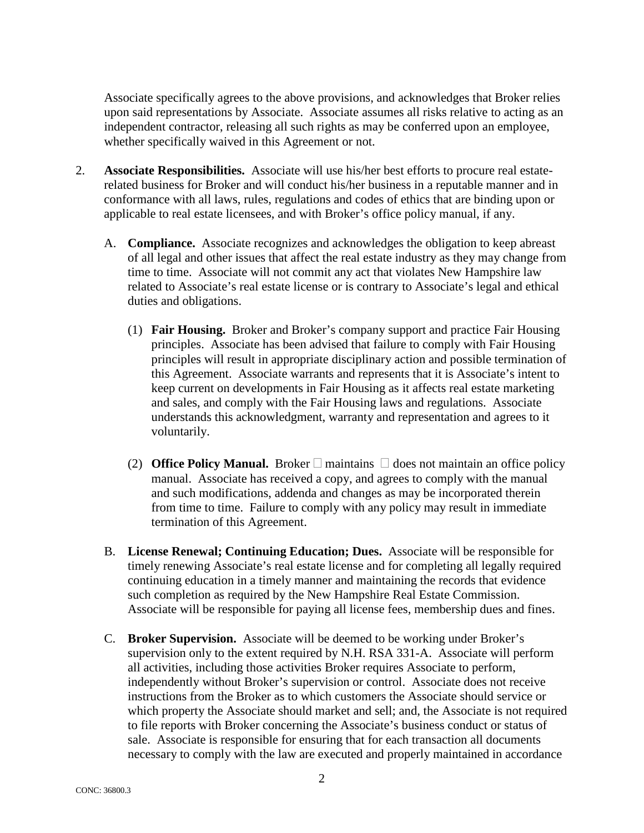Associate specifically agrees to the above provisions, and acknowledges that Broker relies upon said representations by Associate. Associate assumes all risks relative to acting as an independent contractor, releasing all such rights as may be conferred upon an employee, whether specifically waived in this Agreement or not.

- 2. **Associate Responsibilities.** Associate will use his/her best efforts to procure real estaterelated business for Broker and will conduct his/her business in a reputable manner and in conformance with all laws, rules, regulations and codes of ethics that are binding upon or applicable to real estate licensees, and with Broker's office policy manual, if any.
	- A. **Compliance.** Associate recognizes and acknowledges the obligation to keep abreast of all legal and other issues that affect the real estate industry as they may change from time to time. Associate will not commit any act that violates New Hampshire law related to Associate's real estate license or is contrary to Associate's legal and ethical duties and obligations.
		- (1) **Fair Housing.** Broker and Broker's company support and practice Fair Housing principles. Associate has been advised that failure to comply with Fair Housing principles will result in appropriate disciplinary action and possible termination of this Agreement. Associate warrants and represents that it is Associate's intent to keep current on developments in Fair Housing as it affects real estate marketing and sales, and comply with the Fair Housing laws and regulations. Associate understands this acknowledgment, warranty and representation and agrees to it voluntarily.
		- (2) **Office Policy Manual.** Broker  $\Box$  maintains  $\Box$  does not maintain an office policy manual. Associate has received a copy, and agrees to comply with the manual and such modifications, addenda and changes as may be incorporated therein from time to time. Failure to comply with any policy may result in immediate termination of this Agreement.
	- B. **License Renewal; Continuing Education; Dues.** Associate will be responsible for timely renewing Associate's real estate license and for completing all legally required continuing education in a timely manner and maintaining the records that evidence such completion as required by the New Hampshire Real Estate Commission. Associate will be responsible for paying all license fees, membership dues and fines.
	- C. **Broker Supervision.** Associate will be deemed to be working under Broker's supervision only to the extent required by N.H. RSA 331-A. Associate will perform all activities, including those activities Broker requires Associate to perform, independently without Broker's supervision or control. Associate does not receive instructions from the Broker as to which customers the Associate should service or which property the Associate should market and sell; and, the Associate is not required to file reports with Broker concerning the Associate's business conduct or status of sale. Associate is responsible for ensuring that for each transaction all documents necessary to comply with the law are executed and properly maintained in accordance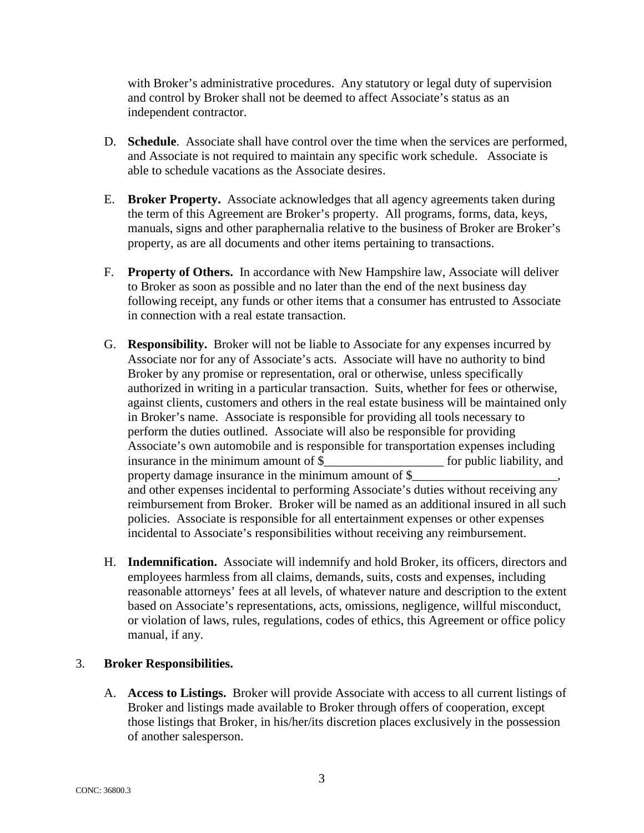with Broker's administrative procedures. Any statutory or legal duty of supervision and control by Broker shall not be deemed to affect Associate's status as an independent contractor.

- D. **Schedule**. Associate shall have control over the time when the services are performed, and Associate is not required to maintain any specific work schedule. Associate is able to schedule vacations as the Associate desires.
- E. **Broker Property.** Associate acknowledges that all agency agreements taken during the term of this Agreement are Broker's property. All programs, forms, data, keys, manuals, signs and other paraphernalia relative to the business of Broker are Broker's property, as are all documents and other items pertaining to transactions.
- F. **Property of Others.** In accordance with New Hampshire law, Associate will deliver to Broker as soon as possible and no later than the end of the next business day following receipt, any funds or other items that a consumer has entrusted to Associate in connection with a real estate transaction.
- G. **Responsibility.** Broker will not be liable to Associate for any expenses incurred by Associate nor for any of Associate's acts. Associate will have no authority to bind Broker by any promise or representation, oral or otherwise, unless specifically authorized in writing in a particular transaction. Suits, whether for fees or otherwise, against clients, customers and others in the real estate business will be maintained only in Broker's name. Associate is responsible for providing all tools necessary to perform the duties outlined. Associate will also be responsible for providing Associate's own automobile and is responsible for transportation expenses including insurance in the minimum amount of \$ for public liability, and property damage insurance in the minimum amount of  $\S$ and other expenses incidental to performing Associate's duties without receiving any reimbursement from Broker. Broker will be named as an additional insured in all such policies. Associate is responsible for all entertainment expenses or other expenses incidental to Associate's responsibilities without receiving any reimbursement.
- H. **Indemnification.** Associate will indemnify and hold Broker, its officers, directors and employees harmless from all claims, demands, suits, costs and expenses, including reasonable attorneys' fees at all levels, of whatever nature and description to the extent based on Associate's representations, acts, omissions, negligence, willful misconduct, or violation of laws, rules, regulations, codes of ethics, this Agreement or office policy manual, if any.

## 3. **Broker Responsibilities.**

A. **Access to Listings.** Broker will provide Associate with access to all current listings of Broker and listings made available to Broker through offers of cooperation, except those listings that Broker, in his/her/its discretion places exclusively in the possession of another salesperson.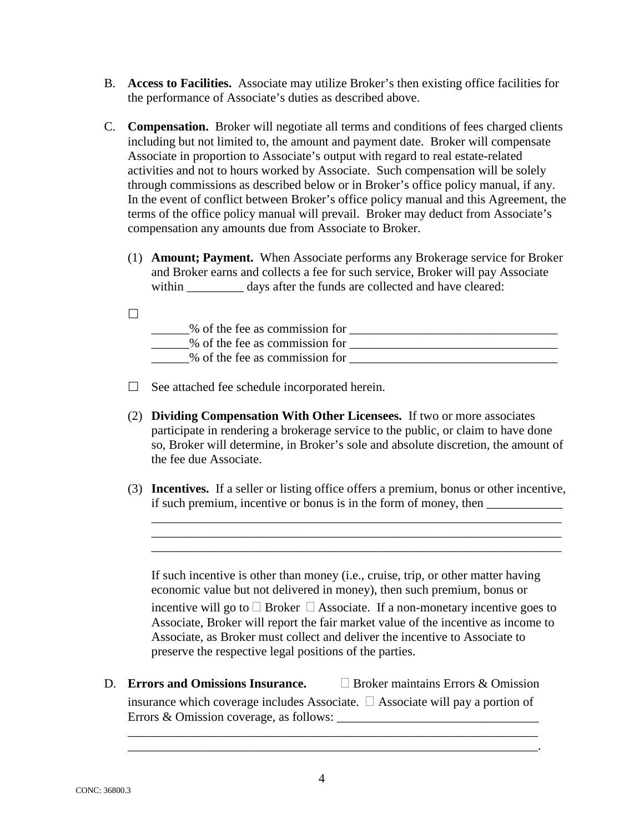- B. **Access to Facilities.** Associate may utilize Broker's then existing office facilities for the performance of Associate's duties as described above.
- C. **Compensation.** Broker will negotiate all terms and conditions of fees charged clients including but not limited to, the amount and payment date. Broker will compensate Associate in proportion to Associate's output with regard to real estate-related activities and not to hours worked by Associate. Such compensation will be solely through commissions as described below or in Broker's office policy manual, if any. In the event of conflict between Broker's office policy manual and this Agreement, the terms of the office policy manual will prevail. Broker may deduct from Associate's compensation any amounts due from Associate to Broker.
	- (1) **Amount; Payment.** When Associate performs any Brokerage service for Broker and Broker earns and collects a fee for such service, Broker will pay Associate within days after the funds are collected and have cleared:
	- $\Box$

| % of the fee as commission for |  |
|--------------------------------|--|
| % of the fee as commission for |  |
| % of the fee as commission for |  |

- $\Box$  See attached fee schedule incorporated herein.
- (2) **Dividing Compensation With Other Licensees.** If two or more associates participate in rendering a brokerage service to the public, or claim to have done so, Broker will determine, in Broker's sole and absolute discretion, the amount of the fee due Associate.
- (3) **Incentives.** If a seller or listing office offers a premium, bonus or other incentive, if such premium, incentive or bonus is in the form of money, then \_\_\_\_\_\_\_\_\_\_\_\_\_\_\_

\_\_\_\_\_\_\_\_\_\_\_\_\_\_\_\_\_\_\_\_\_\_\_\_\_\_\_\_\_\_\_\_\_\_\_\_\_\_\_\_\_\_\_\_\_\_\_\_\_\_\_\_\_\_\_\_\_\_\_\_\_\_\_\_\_ \_\_\_\_\_\_\_\_\_\_\_\_\_\_\_\_\_\_\_\_\_\_\_\_\_\_\_\_\_\_\_\_\_\_\_\_\_\_\_\_\_\_\_\_\_\_\_\_\_\_\_\_\_\_\_\_\_\_\_\_\_\_\_\_\_ \_\_\_\_\_\_\_\_\_\_\_\_\_\_\_\_\_\_\_\_\_\_\_\_\_\_\_\_\_\_\_\_\_\_\_\_\_\_\_\_\_\_\_\_\_\_\_\_\_\_\_\_\_\_\_\_\_\_\_\_\_\_\_\_\_

If such incentive is other than money (i.e., cruise, trip, or other matter having economic value but not delivered in money), then such premium, bonus or incentive will go to  $\Box$  Broker  $\Box$  Associate. If a non-monetary incentive goes to Associate, Broker will report the fair market value of the incentive as income to Associate, as Broker must collect and deliver the incentive to Associate to preserve the respective legal positions of the parties.

D. **Errors and Omissions Insurance. Broker maintains Errors & Omission** insurance which coverage includes Associate.  $\Box$  Associate will pay a portion of

\_\_\_\_\_\_\_\_\_\_\_\_\_\_\_\_\_\_\_\_\_\_\_\_\_\_\_\_\_\_\_\_\_\_\_\_\_\_\_\_\_\_\_\_\_\_\_\_\_\_\_\_\_\_\_\_\_\_\_\_\_\_\_\_\_ \_\_\_\_\_\_\_\_\_\_\_\_\_\_\_\_\_\_\_\_\_\_\_\_\_\_\_\_\_\_\_\_\_\_\_\_\_\_\_\_\_\_\_\_\_\_\_\_\_\_\_\_\_\_\_\_\_\_\_\_\_\_\_\_\_.

Errors & Omission coverage, as follows: \_\_\_\_\_\_\_\_\_\_\_\_\_\_\_\_\_\_\_\_\_\_\_\_\_\_\_\_\_\_\_\_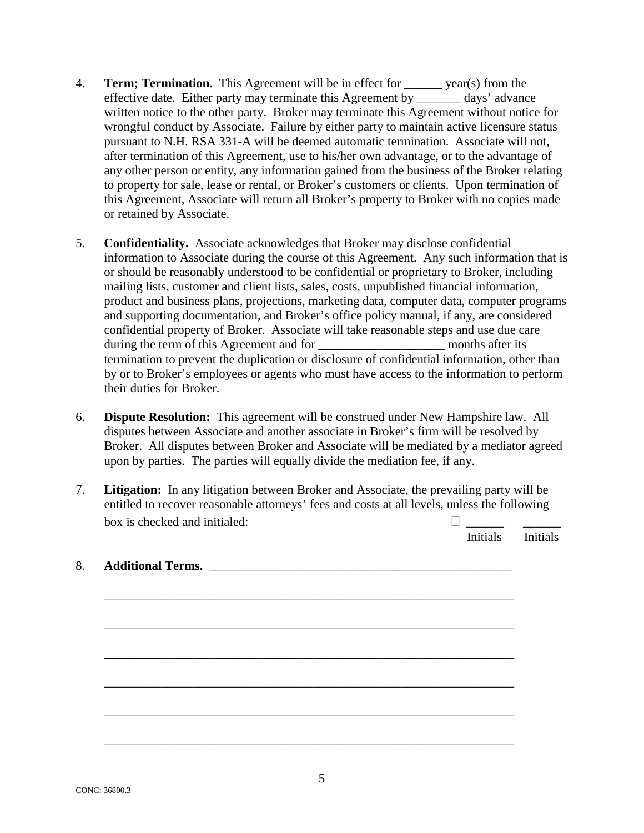- 4. **Term; Termination.** This Agreement will be in effect for \_\_\_\_\_\_ year(s) from the effective date. Either party may terminate this Agreement by \_\_\_\_\_\_\_ days' advance written notice to the other party. Broker may terminate this Agreement without notice for wrongful conduct by Associate. Failure by either party to maintain active licensure status pursuant to N.H. RSA 331-A will be deemed automatic termination. Associate will not, after termination of this Agreement, use to his/her own advantage, or to the advantage of any other person or entity, any information gained from the business of the Broker relating to property for sale, lease or rental, or Broker's customers or clients. Upon termination of this Agreement, Associate will return all Broker's property to Broker with no copies made or retained by Associate.
- 5. **Confidentiality.** Associate acknowledges that Broker may disclose confidential information to Associate during the course of this Agreement. Any such information that is or should be reasonably understood to be confidential or proprietary to Broker, including mailing lists, customer and client lists, sales, costs, unpublished financial information, product and business plans, projections, marketing data, computer data, computer programs and supporting documentation, and Broker's office policy manual, if any, are considered confidential property of Broker. Associate will take reasonable steps and use due care during the term of this Agreement and for months after its termination to prevent the duplication or disclosure of confidential information, other than by or to Broker's employees or agents who must have access to the information to perform their duties for Broker.
- 6. **Dispute Resolution:** This agreement will be construed under New Hampshire law. All disputes between Associate and another associate in Broker's firm will be resolved by Broker. All disputes between Broker and Associate will be mediated by a mediator agreed upon by parties. The parties will equally divide the mediation fee, if any.
- 7. **Litigation:** In any litigation between Broker and Associate, the prevailing party will be entitled to recover reasonable attorneys' fees and costs at all levels, unless the following box is checked and initialed:  $\Box$

Initials Initials